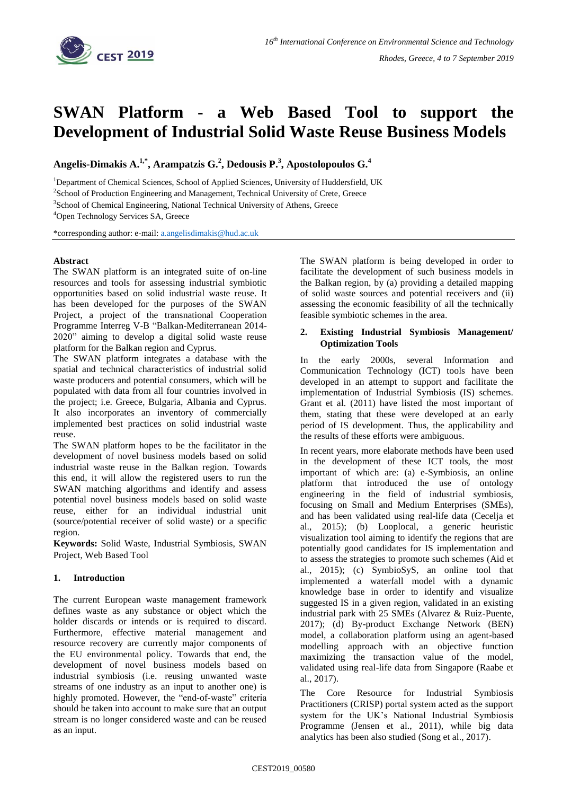

# **SWAN Platform - a Web Based Tool to support the Development of Industrial Solid Waste Reuse Business Models**

**Angelis-Dimakis A. 1,\* , Arampatzis G. 2 , Dedousis P. 3 , Apostolopoulos G. 4**

<sup>1</sup>Department of Chemical Sciences, School of Applied Sciences, University of Huddersfield, UK

<sup>2</sup>School of Production Engineering and Management, Technical University of Crete, Greece

<sup>3</sup>School of Chemical Engineering, National Technical University of Athens, Greece

<sup>4</sup>Open Technology Services SA, Greece

\*corresponding author: e-mail: [a.angelisdimakis@hud.ac.uk](mailto:a.angelisdimakis@hud.ac.uk)

# **Abstract**

The SWAN platform is an integrated suite of on-line resources and tools for assessing industrial symbiotic opportunities based on solid industrial waste reuse. It has been developed for the purposes of the SWAN Project, a project of the transnational Cooperation Programme Interreg V-B "Balkan-Mediterranean 2014- 2020" aiming to develop a digital solid waste reuse platform for the Balkan region and Cyprus.

The SWAN platform integrates a database with the spatial and technical characteristics of industrial solid waste producers and potential consumers, which will be populated with data from all four countries involved in the project; i.e. Greece, Bulgaria, Albania and Cyprus. It also incorporates an inventory of commercially implemented best practices on solid industrial waste reuse.

The SWAN platform hopes to be the facilitator in the development of novel business models based on solid industrial waste reuse in the Balkan region. Towards this end, it will allow the registered users to run the SWAN matching algorithms and identify and assess potential novel business models based on solid waste reuse, either for an individual industrial unit (source/potential receiver of solid waste) or a specific region.

**Keywords:** Solid Waste, Industrial Symbiosis, SWAN Project, Web Based Tool

# **1. Introduction**

The current European waste management framework defines waste as any substance or object which the holder discards or intends or is required to discard. Furthermore, effective material management and resource recovery are currently major components of the EU environmental policy. Towards that end, the development of novel business models based on industrial symbiosis (i.e. reusing unwanted waste streams of one industry as an input to another one) is highly promoted. However, the "end-of-waste" criteria should be taken into account to make sure that an output stream is no longer considered waste and can be reused as an input.

The SWAN platform is being developed in order to facilitate the development of such business models in the Balkan region, by (a) providing a detailed mapping of solid waste sources and potential receivers and (ii) assessing the economic feasibility of all the technically feasible symbiotic schemes in the area.

### **2. Existing Industrial Symbiosis Management/ Optimization Tools**

In the early 2000s, several Information and Communication Technology (ICT) tools have been developed in an attempt to support and facilitate the implementation of Industrial Symbiosis (IS) schemes. Grant et al. (2011) have listed the most important of them, stating that these were developed at an early period of IS development. Thus, the applicability and the results of these efforts were ambiguous.

In recent years, more elaborate methods have been used in the development of these ICT tools, the most important of which are: (a) e-Symbiosis, an online platform that introduced the use of ontology engineering in the field of industrial symbiosis, focusing on Small and Medium Enterprises (SMEs), and has been validated using real-life data (Cecelja et al., 2015); (b) Looplocal, a generic heuristic visualization tool aiming to identify the regions that are potentially good candidates for IS implementation and to assess the strategies to promote such schemes (Aid et al., 2015); (c) SymbioSyS, an online tool that implemented a waterfall model with a dynamic knowledge base in order to identify and visualize suggested IS in a given region, validated in an existing industrial park with 25 SMEs (Alvarez & Ruiz-Puente, 2017); (d) By-product Exchange Network (BEN) model, a collaboration platform using an agent-based modelling approach with an objective function maximizing the transaction value of the model, validated using real-life data from Singapore (Raabe et al., 2017).

The Core Resource for Industrial Symbiosis Practitioners (CRISP) portal system acted as the support system for the UK's National Industrial Symbiosis Programme (Jensen et al., 2011), while big data analytics has been also studied (Song et al., 2017).